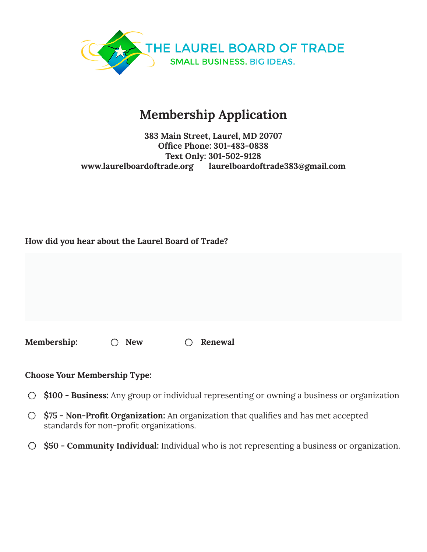

# Membership Application

#### 383 Main Street, Laurel, MD 20707 Office Phone: 301-483-0838 Text Only: 301-502-9128 www.laurelboardoftrade.org laurelboardoftrade383@gmail.com

## How did you hear about the Laurel Board of Trade?

Membership:  $\bigcirc$  New  $\bigcirc$  Renewal

#### Choose Your Membership Type:

- $\circ$  \$100 Business: Any group or individual representing or owning a business or organization
- $\circ$  \$75 Non-Profit Organization: An organization that qualifies and has met accepted standards for non-profit organizations.
- $\circ$  \$50 Community Individual: Individual who is not representing a business or organization.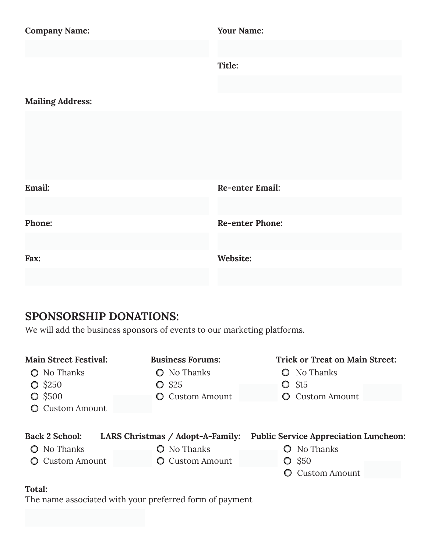| <b>Company Name:</b>    | <b>Your Name:</b>      |  |  |
|-------------------------|------------------------|--|--|
|                         | Title:                 |  |  |
|                         |                        |  |  |
| <b>Mailing Address:</b> |                        |  |  |
|                         |                        |  |  |
| Email:                  | <b>Re-enter Email:</b> |  |  |
| Phone:                  | <b>Re-enter Phone:</b> |  |  |
| Fax:                    | Website:               |  |  |

# SPONSORSHIP DONATIONS:

We will add the business sponsors of events to our marketing platforms.

| <b>Main Street Festival:</b>                           | <b>Business Forums:</b>                                  | <b>Trick or Treat on Main Street:</b>                        |
|--------------------------------------------------------|----------------------------------------------------------|--------------------------------------------------------------|
| No Thanks<br>O<br>$\bigcirc$ \$250<br>$\bigcirc$ \$500 | No Thanks<br>$\bullet$ \$25<br><b>Custom Amount</b><br>O | No Thanks<br>S <sub>15</sub><br>O.<br><b>Custom Amount</b>   |
| <b>O</b> Custom Amount<br><b>Back 2 School:</b>        | LARS Christmas / Adopt-A-Family:                         | <b>Public Service Appreciation Luncheon:</b>                 |
| No Thanks<br>$\circ$<br><b>O</b> Custom Amount         | No Thanks<br><b>Q</b> Custom Amount                      | <b>O</b> No Thanks<br>$\bullet$ \$50<br><b>Custom Amount</b> |

# Total:

The name associated with your preferred form of payment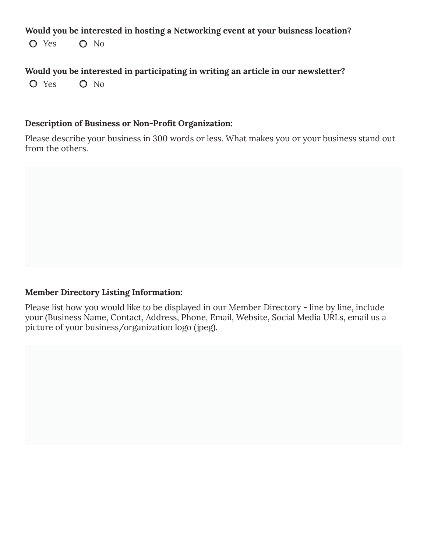#### Would you be interested in hosting a Networking event at your buisness location?

O Yes O No

## Would you be interested in participating in writing an article in our newsletter?

O Yes O No

#### Description of Business or Non-Profit Organization:

Please describe your business in 300 words or less. What makes you or your business stand out from the others.

#### Member Directory Listing Information:

Please list how you would like to be displayed in our Member Directory - line by line, include your (Business Name, Contact, Address, Phone, Email, Website, Social Media URLs, email us a picture of your business/organization logo (jpeg).